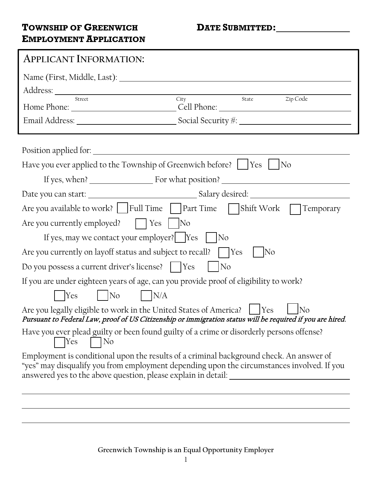#### **TOWNSHIP OF GREENWICH DATE SUBMITTED: EMPLOYMENT APPLICATION**

| <b>APPLICANT INFORMATION:</b>                                                                                                                                                                                                                                               |
|-----------------------------------------------------------------------------------------------------------------------------------------------------------------------------------------------------------------------------------------------------------------------------|
| Address: <u>New York Charles and State and State and State and State and State and State and State and State and State and State and State and State and State and State and State and State and State and State and State and S</u><br>Street<br>City<br>Zip Code<br>State |
|                                                                                                                                                                                                                                                                             |
|                                                                                                                                                                                                                                                                             |
|                                                                                                                                                                                                                                                                             |
| Have you ever applied to the Township of Greenwich before?       Yes       No                                                                                                                                                                                               |
|                                                                                                                                                                                                                                                                             |
|                                                                                                                                                                                                                                                                             |
| Are you available to work? $\vert$   Full Time     Part Time   Shift Work<br>Temporary                                                                                                                                                                                      |
| Are you currently employed? $\Box$ Yes<br>$ $ No                                                                                                                                                                                                                            |
| If yes, may we contact your employer? $\vert$ Yes $\vert$<br> No                                                                                                                                                                                                            |
| Are you currently on layoff status and subject to recall?    Yes<br>No                                                                                                                                                                                                      |
| Do you possess a current driver's license?     Yes<br>No                                                                                                                                                                                                                    |
| If you are under eighteen years of age, can you provide proof of eligibility to work?                                                                                                                                                                                       |
| $\vert$ No<br>$\big $ N/A<br>Yes                                                                                                                                                                                                                                            |
| Are you legally eligible to work in the United States of America?   Yes<br>lNo<br>Pursuant to Federal Law, proof of US Citizenship or immigration status will be required if you are hired.                                                                                 |
| Have you ever plead guilty or been found guilty of a crime or disorderly persons offense?<br><b>Yes</b><br> No                                                                                                                                                              |
| Employment is conditional upon the results of a criminal background check. An answer of<br>"yes" may disqualify you from employment depending upon the circumstances involved. If you<br>answered yes to the above question, please explain in detail: _                    |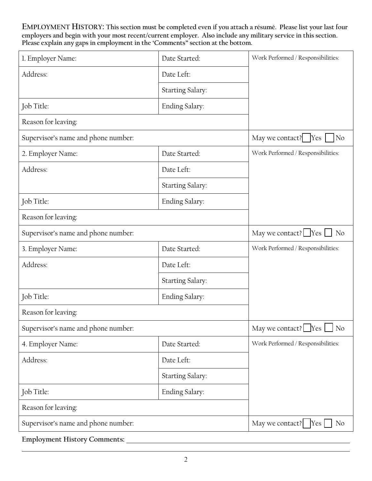**EMPLOYMENT HISTORY: This section must be completed even if you attach a résumé. Please list your last four employers and begin with your most recent/current employer. Also include any military service in this section. Please explain any gaps in employment in the 'Comments" section at the bottom.**

| 1. Employer Name:                   | Date Started:           | Work Performed / Responsibilities:                                                         |
|-------------------------------------|-------------------------|--------------------------------------------------------------------------------------------|
| Address:                            | Date Left:              |                                                                                            |
|                                     | <b>Starting Salary:</b> |                                                                                            |
| Job Title:                          | Ending Salary:          |                                                                                            |
| Reason for leaving:                 |                         |                                                                                            |
| Supervisor's name and phone number: |                         | May we contact?<br>Yes<br>N <sub>o</sub>                                                   |
| 2. Employer Name:                   | Date Started:           | Work Performed / Responsibilities:                                                         |
| Address:                            | Date Left:              |                                                                                            |
|                                     | <b>Starting Salary:</b> |                                                                                            |
| Job Title:                          | Ending Salary:          |                                                                                            |
| Reason for leaving:                 |                         |                                                                                            |
| Supervisor's name and phone number: |                         | May we contact? $\Box$ Yes $\Box$<br>N <sub>o</sub>                                        |
| 3. Employer Name:                   | Date Started:           | Work Performed / Responsibilities:                                                         |
| Address:                            | Date Left:              |                                                                                            |
|                                     | <b>Starting Salary:</b> |                                                                                            |
| Job Title:                          | Ending Salary:          |                                                                                            |
| Reason for leaving:                 |                         |                                                                                            |
| Supervisor's name and phone number: |                         | May we contact? Yes [<br>N <sub>o</sub>                                                    |
| 4. Employer Name:                   | Date Started:           | Work Performed / Responsibilities:                                                         |
| Address:                            | Date Left:              |                                                                                            |
|                                     | <b>Starting Salary:</b> |                                                                                            |
| Job Title:                          | Ending Salary:          |                                                                                            |
| Reason for leaving:                 |                         |                                                                                            |
| Supervisor's name and phone number: |                         | May we contact? $\begin{bmatrix} \text{Yes} \\ \text{Yes} \end{bmatrix}$<br>N <sub>o</sub> |

**Employment History Comments:**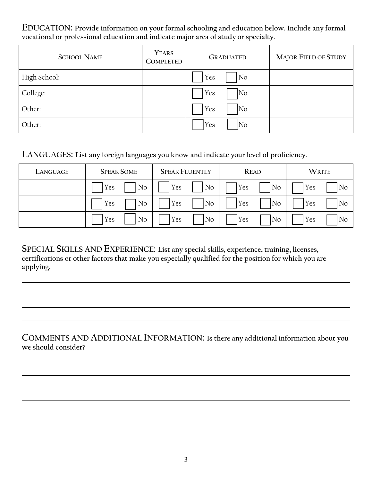**EDUCATION: Provide information on your formal schooling and education below. Include any formal vocational or professional education and indicate major area of study or specialty.**

| <b>SCHOOL NAME</b> | <b>YEARS</b><br><b>COMPLETED</b> | <b>GRADUATED</b>           | <b>MAJOR FIELD OF STUDY</b> |
|--------------------|----------------------------------|----------------------------|-----------------------------|
| High School:       |                                  | Yes<br>No                  |                             |
| College:           |                                  | Yes<br>No.                 |                             |
| Other:             |                                  | Yes<br>$\overline{\rm No}$ |                             |
| Other:             |                                  | Yes<br>No                  |                             |

#### **LANGUAGES: List any foreign languages you know and indicate your level of proficiency.**

| LANGUAGE | <b>SPEAK SOME</b> | <b>SPEAK FLUENTLY</b> | <b>READ</b> | <b>WRITE</b> |
|----------|-------------------|-----------------------|-------------|--------------|
|          | No                | No                    | <b>Yes</b>  | Yes          |
|          | Yes               | Yes                   | No          | No           |
|          | No                | Yes                   | Yes         | 'Yes         |
|          | Yes               | No                    | No          | No           |
|          | No                | No                    | <b>Yes</b>  | Yes          |
|          | Yes               | Yes                   | No          | No           |

**SPECIAL SKILLS AND EXPERIENCE: List any special skills, experience, training, licenses, certifications or other factors that make you especially qualified for the position for which you are applying.**

**COMMENTS AND ADDITIONAL INFORMATION: Is there any additional information about you we should consider?**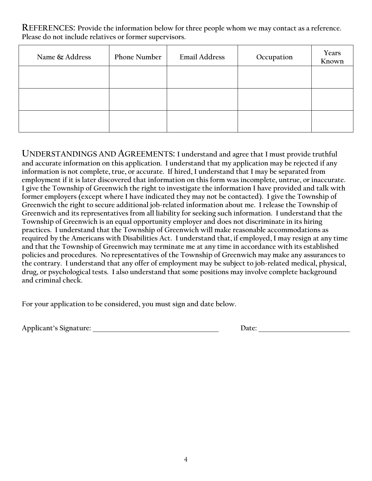**REFERENCES: Provide the information below for three people whom we may contact as a reference. Please do not include relatives or former supervisors.**

| Name & Address | <b>Phone Number</b> | <b>Email Address</b> | Occupation | Years<br>Known |
|----------------|---------------------|----------------------|------------|----------------|
|                |                     |                      |            |                |
|                |                     |                      |            |                |
|                |                     |                      |            |                |

**UNDERSTANDINGS AND AGREEMENTS: I understand and agree that I must provide truthful and accurate information on this application. I understand that my application may be rejected if any information is not complete, true, or accurate. If hired, I understand that I may be separated from employment if it is later discovered that information on this form was incomplete, untrue, or inaccurate. I give the Township of Greenwich the right to investigate the information I have provided and talk with former employers (except where I have indicated they may not be contacted). I give the Township of Greenwich the right to secure additional job-related information about me. I release the Township of Greenwich and its representatives from all liability for seeking such information. I understand that the Township of Greenwich is an equal opportunity employer and does not discriminate in its hiring practices. I understand that the Township of Greenwich will make reasonable accommodations as required by the Americans with Disabilities Act. I understand that, if employed, I may resign at any time and that the Township of Greenwich may terminate me at any time in accordance with its established policies and procedures. No representatives of the Township of Greenwich may make any assurances to the contrary. I understand that any offer of employment may be subject to job-related medical, physical, drug, or psychological tests. I also understand that some positions may involve complete background and criminal check.** 

**For your application to be considered, you must sign and date below.**

Applicant's Signature: **Date: Date: Date: Date: Date: Date: Date: Date: Date: Date: Date: Date: Date: Date: D**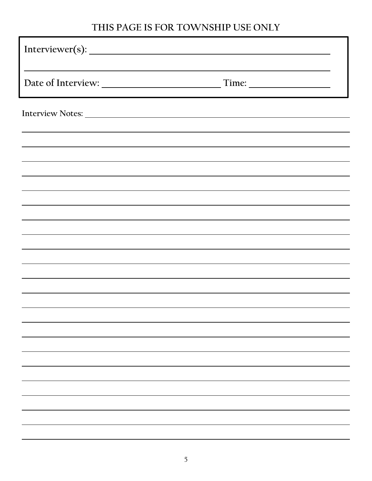# **THIS PAGE IS FOR TOWNSHIP USE ONLY**

| Interviewer(s):                                                                                                                                                                                                               |  |
|-------------------------------------------------------------------------------------------------------------------------------------------------------------------------------------------------------------------------------|--|
|                                                                                                                                                                                                                               |  |
|                                                                                                                                                                                                                               |  |
| the control of the control of the control of the control of the control of the control of the control of the control of the control of the control of the control of the control of the control of the control of the control |  |
|                                                                                                                                                                                                                               |  |
|                                                                                                                                                                                                                               |  |
|                                                                                                                                                                                                                               |  |
|                                                                                                                                                                                                                               |  |
|                                                                                                                                                                                                                               |  |
|                                                                                                                                                                                                                               |  |
|                                                                                                                                                                                                                               |  |
|                                                                                                                                                                                                                               |  |
|                                                                                                                                                                                                                               |  |
|                                                                                                                                                                                                                               |  |
|                                                                                                                                                                                                                               |  |
|                                                                                                                                                                                                                               |  |
|                                                                                                                                                                                                                               |  |